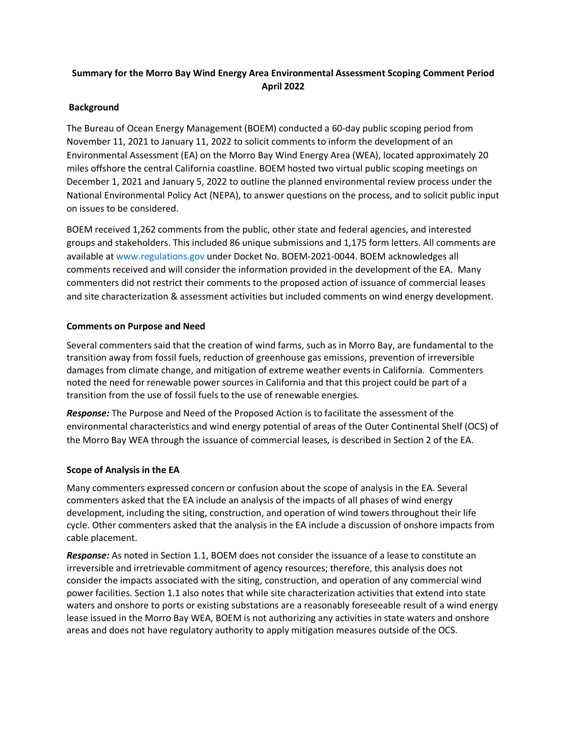# **Summary for the Morro Bay Wind Energy Area Environmental Assessment Scoping Comment Period April 2022**

## **Background**

The Bureau of Ocean Energy Management (BOEM) conducted a 60-day public scoping period from November 11, 2021 to January 11, 2022 to solicit comments to inform the development of an Environmental Assessment (EA) on the Morro Bay Wind Energy Area (WEA), located approximately 20 miles offshore the central California coastline. BOEM hosted two virtual public scoping meetings on December 1, 2021 and January 5, 2022 to outline the planned environmental review process under the National Environmental Policy Act (NEPA), to answer questions on the process, and to solicit public input on issues to be considered.

BOEM received 1,262 comments from the public, other state and federal agencies, and interested groups and stakeholders. This included 86 unique submissions and 1,175 form letters. All comments are available at www.regulations.gov under Docket No. BOEM-2021-0044. BOEM acknowledges all comments received and will consider the information provided in the development of the EA. Many commenters did not restrict their comments to the proposed action of issuance of commercial leases and site characterization & assessment activities but included comments on wind energy development.

## **Comments on Purpose and Need**

Several commenters said that the creation of wind farms, such as in Morro Bay, are fundamental to the transition away from fossil fuels, reduction of greenhouse gas emissions, prevention of irreversible damages from climate change, and mitigation of extreme weather events in California. Commenters noted the need for renewable power sources in California and that this project could be part of a transition from the use of fossil fuels to the use of renewable energies.

*Response:* The Purpose and Need of the Proposed Action is to facilitate the assessment of the environmental characteristics and wind energy potential of areas of the Outer Continental Shelf (OCS) of the Morro Bay WEA through the issuance of commercial leases, is described in Section 2 of the EA.

## **Scope of Analysis in the EA**

Many commenters expressed concern or confusion about the scope of analysis in the EA. Several commenters asked that the EA include an analysis of the impacts of all phases of wind energy development, including the siting, construction, and operation of wind towers throughout their life cycle. Other commenters asked that the analysis in the EA include a discussion of onshore impacts from cable placement.

*Response:* As noted in Section 1.1, BOEM does not consider the issuance of a lease to constitute an irreversible and irretrievable commitment of agency resources; therefore, this analysis does not consider the impacts associated with the siting, construction, and operation of any commercial wind power facilities. Section 1.1 also notes that while site characterization activities that extend into state waters and onshore to ports or existing substations are a reasonably foreseeable result of a wind energy lease issued in the Morro Bay WEA, BOEM is not authorizing any activities in state waters and onshore areas and does not have regulatory authority to apply mitigation measures outside of the OCS.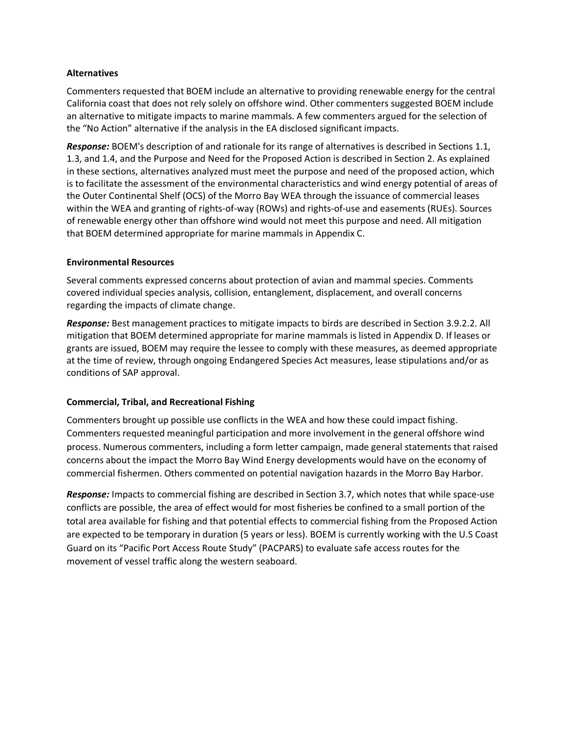#### **Alternatives**

Commenters requested that BOEM include an alternative to providing renewable energy for the central California coast that does not rely solely on offshore wind. Other commenters suggested BOEM include an alternative to mitigate impacts to marine mammals. A few commenters argued for the selection of the "No Action" alternative if the analysis in the EA disclosed significant impacts.

*Response:* BOEM's description of and rationale for its range of alternatives is described in Sections 1.1, 1.3, and 1.4, and the Purpose and Need for the Proposed Action is described in Section 2. As explained in these sections, alternatives analyzed must meet the purpose and need of the proposed action, which is to facilitate the assessment of the environmental characteristics and wind energy potential of areas of the Outer Continental Shelf (OCS) of the Morro Bay WEA through the issuance of commercial leases within the WEA and granting of rights-of-way (ROWs) and rights-of-use and easements (RUEs). Sources of renewable energy other than offshore wind would not meet this purpose and need. All mitigation that BOEM determined appropriate for marine mammals in Appendix C.

#### **Environmental Resources**

Several comments expressed concerns about protection of avian and mammal species. Comments covered individual species analysis, collision, entanglement, displacement, and overall concerns regarding the impacts of climate change.

*Response:* Best management practices to mitigate impacts to birds are described in Section 3.9.2.2. All mitigation that BOEM determined appropriate for marine mammals is listed in Appendix D. If leases or grants are issued, BOEM may require the lessee to comply with these measures, as deemed appropriate at the time of review, through ongoing Endangered Species Act measures, lease stipulations and/or as conditions of SAP approval.

#### **Commercial, Tribal, and Recreational Fishing**

Commenters brought up possible use conflicts in the WEA and how these could impact fishing. Commenters requested meaningful participation and more involvement in the general offshore wind process. Numerous commenters, including a form letter campaign, made general statements that raised concerns about the impact the Morro Bay Wind Energy developments would have on the economy of commercial fishermen. Others commented on potential navigation hazards in the Morro Bay Harbor.

*Response:* Impacts to commercial fishing are described in Section 3.7, which notes that while space-use conflicts are possible, the area of effect would for most fisheries be confined to a small portion of the total area available for fishing and that potential effects to commercial fishing from the Proposed Action are expected to be temporary in duration (5 years or less). BOEM is currently working with the U.S Coast Guard on its "Pacific Port Access Route Study" (PACPARS) to evaluate safe access routes for the movement of vessel traffic along the western seaboard.